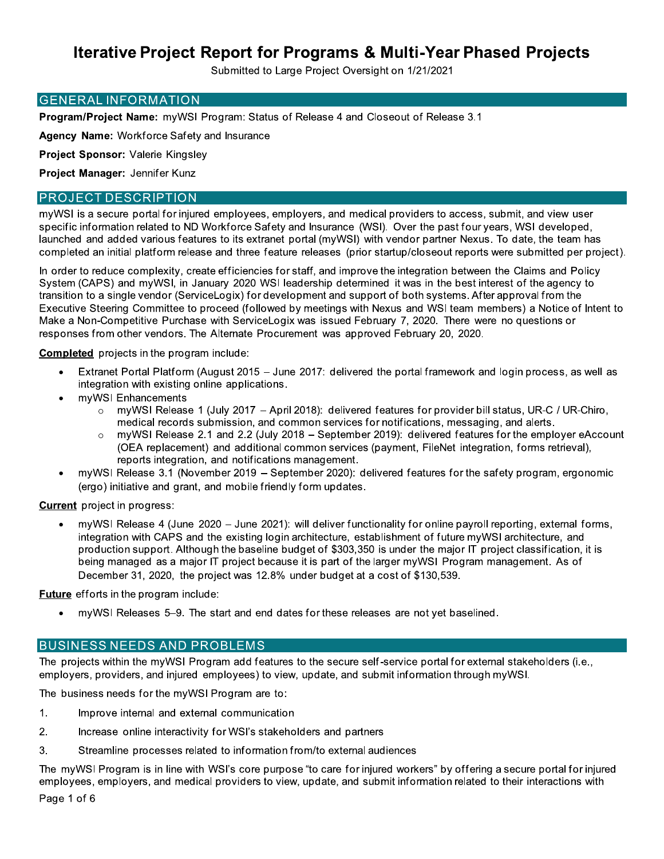Submitted to Large Project Oversight on 1/21/2021

### **GENERAL INFORMATION**

Program/Project Name: myWSI Program: Status of Release 4 and Closeout of Release 3.1

Agency Name: Workforce Safety and Insurance

Project Sponsor: Valerie Kingsley

Project Manager: Jennifer Kunz

### **PROJECT DESCRIPTION**

myWSI is a secure portal for injured employees, employers, and medical providers to access, submit, and view user specific information related to ND Workforce Safety and Insurance (WSI). Over the past four years, WSI developed, launched and added various features to its extranet portal (myWSI) with vendor partner Nexus. To date, the team has completed an initial platform release and three feature releases (prior startup/closeout reports were submitted per project).

In order to reduce complexity, create efficiencies for staff, and improve the integration between the Claims and Policy System (CAPS) and myWSI, in January 2020 WSI leadership determined it was in the best interest of the agency to transition to a single vendor (ServiceLogix) for development and support of both systems. After approval from the Executive Steering Committee to proceed (followed by meetings with Nexus and WSI team members) a Notice of Intent to Make a Non-Competitive Purchase with ServiceLogix was issued February 7, 2020. There were no questions or responses from other vendors. The Alternate Procurement was approved February 20, 2020.

**Completed** projects in the program include:

- Extranet Portal Platform (August 2015 June 2017: delivered the portal framework and login process, as well as integration with existing online applications.
- myWSI Enhancements
	- myWSI Release 1 (July 2017 April 2018): delivered features for provider bill status, UR-C / UR-Chiro,  $\circ$ medical records submission, and common services for notifications, messaging, and alerts.
	- myWSI Release 2.1 and 2.2 (July 2018 September 2019): delivered features for the employer eAccount (OEA replacement) and additional common services (payment, FileNet integration, forms retrieval), reports integration, and notifications management.
- myWSI Release 3.1 (November 2019 September 2020): delivered features for the safety program, ergonomic (ergo) initiative and grant, and mobile friendly form updates.

**Current** project in progress:

myWSI Release 4 (June 2020 - June 2021): will deliver functionality for online payroll reporting, external forms, integration with CAPS and the existing login architecture, establishment of future myWSI architecture, and production support. Although the baseline budget of \$303,350 is under the major IT project classification, it is being managed as a major IT project because it is part of the larger myWSI Program management. As of December 31, 2020, the project was 12.8% under budget at a cost of \$130,539.

**Future** efforts in the program include:

myWSI Releases 5–9. The start and end dates for these releases are not yet baselined.

### **BUSINESS NEEDS AND PROBLEMS**

The projects within the myWSI Program add features to the secure self-service portal for external stakeholders (i.e., employers, providers, and injured employees) to view, update, and submit information through myWSI.

The business needs for the myWSI Program are to:

- $1.$ Improve internal and external communication
- $2.$ Increase online interactivity for WSI's stakeholders and partners
- 3. Streamline processes related to information from/to external audiences

The myWSI Program is in line with WSI's core purpose "to care for injured workers" by offering a secure portal for injured employees, employers, and medical providers to view, update, and submit information related to their interactions with

Page 1 of 6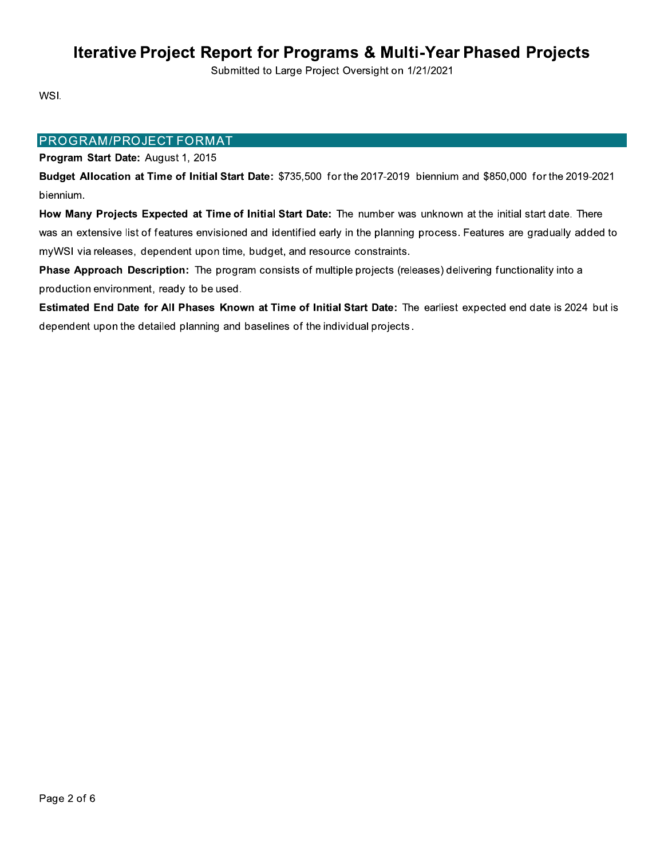Submitted to Large Project Oversight on 1/21/2021

WSI.

### **PROGRAM/PROJECT FORMAT**

### Program Start Date: August 1, 2015

Budget Allocation at Time of Initial Start Date: \$735,500 for the 2017-2019 biennium and \$850,000 for the 2019-2021 biennium.

How Many Projects Expected at Time of Initial Start Date: The number was unknown at the initial start date. There was an extensive list of features envisioned and identified early in the planning process. Features are gradually added to myWSI via releases, dependent upon time, budget, and resource constraints.

Phase Approach Description: The program consists of multiple projects (releases) delivering functionality into a production environment, ready to be used.

Estimated End Date for All Phases Known at Time of Initial Start Date: The earliest expected end date is 2024 but is dependent upon the detailed planning and baselines of the individual projects.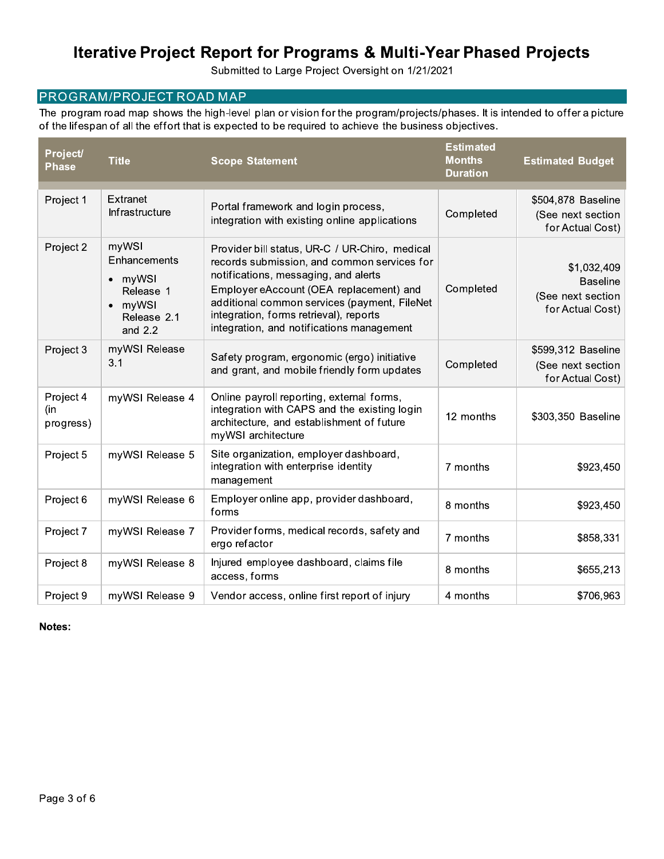Submitted to Large Project Oversight on 1/21/2021

## PROGRAM/PROJECT ROAD MAP

The program road map shows the high-level plan or vision for the program/projects/phases. It is intended to offer a picture of the lifespan of all the effort that is expected to be required to achieve the business objectives.

| Project/<br><b>Phase</b>      | <b>Title</b>                                                                                               | <b>Scope Statement</b>                                                                                                                                                                                                                                                                                                  | <b>Estimated</b><br><b>Months</b><br><b>Duration</b> | <b>Estimated Budget</b>                                                 |
|-------------------------------|------------------------------------------------------------------------------------------------------------|-------------------------------------------------------------------------------------------------------------------------------------------------------------------------------------------------------------------------------------------------------------------------------------------------------------------------|------------------------------------------------------|-------------------------------------------------------------------------|
| Project 1                     | Extranet<br>Infrastructure                                                                                 | Portal framework and login process,<br>integration with existing online applications                                                                                                                                                                                                                                    | Completed                                            | \$504,878 Baseline<br>(See next section<br>for Actual Cost)             |
| Project 2                     | myWSI<br>Enhancements<br>myWSI<br>$\bullet$<br>Release 1<br>myWSI<br>$\bullet$<br>Release 2.1<br>and $2.2$ | Provider bill status, UR-C / UR-Chiro, medical<br>records submission, and common services for<br>notifications, messaging, and alerts<br>Employer eAccount (OEA replacement) and<br>additional common services (payment, FileNet<br>integration, forms retrieval), reports<br>integration, and notifications management | Completed                                            | \$1,032,409<br><b>Baseline</b><br>(See next section<br>for Actual Cost) |
| Project 3                     | myWSI Release<br>3.1                                                                                       | Safety program, ergonomic (ergo) initiative<br>and grant, and mobile friendly form updates                                                                                                                                                                                                                              | Completed                                            | \$599,312 Baseline<br>(See next section<br>for Actual Cost)             |
| Project 4<br>(in<br>progress) | myWSI Release 4                                                                                            | Online payroll reporting, external forms,<br>integration with CAPS and the existing login<br>architecture, and establishment of future<br>myWSI architecture                                                                                                                                                            | 12 months                                            | \$303,350 Baseline                                                      |
| Project 5                     | myWSI Release 5                                                                                            | Site organization, employer dashboard,<br>integration with enterprise identity<br>management                                                                                                                                                                                                                            | 7 months                                             | \$923,450                                                               |
| Project 6                     | myWSI Release 6                                                                                            | Employer online app, provider dashboard,<br>forms                                                                                                                                                                                                                                                                       | 8 months                                             | \$923,450                                                               |
| Project 7                     | myWSI Release 7                                                                                            | Provider forms, medical records, safety and<br>ergo refactor                                                                                                                                                                                                                                                            | 7 months                                             | \$858,331                                                               |
| Project 8                     | myWSI Release 8                                                                                            | Injured employee dashboard, claims file<br>access, forms                                                                                                                                                                                                                                                                | 8 months                                             | \$655,213                                                               |
| Project 9                     | myWSI Release 9                                                                                            | Vendor access, online first report of injury                                                                                                                                                                                                                                                                            | 4 months                                             | \$706,963                                                               |

Notes: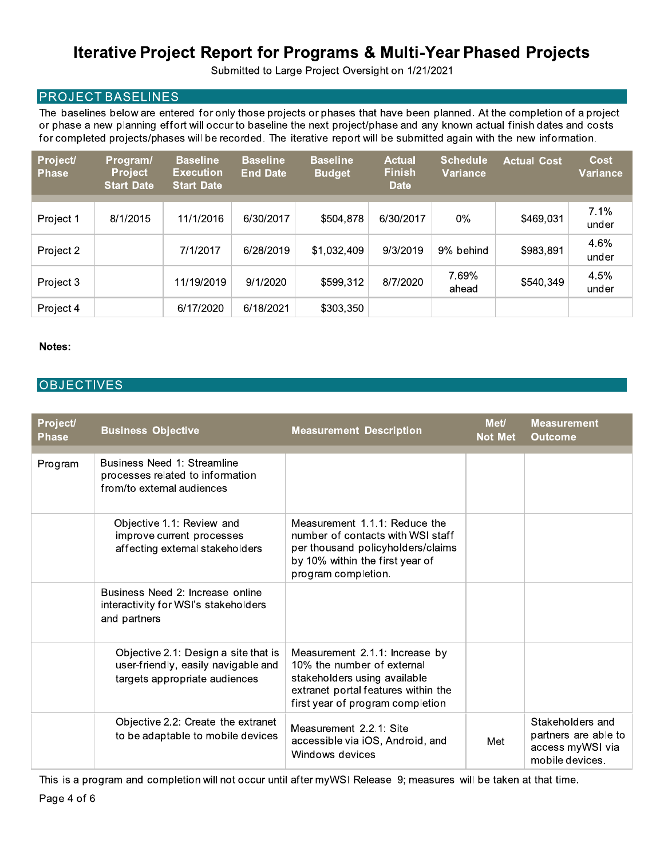Submitted to Large Project Oversight on 1/21/2021

## **PROJECT BASELINES**

The baselines below are entered for only those projects or phases that have been planned. At the completion of a project or phase a new planning effort will occur to baseline the next project/phase and any known actual finish dates and costs for completed projects/phases will be recorded. The iterative report will be submitted again with the new information.

| <b>Project/</b><br><b>Phase</b> | Program/<br><b>Project</b><br><b>Start Date</b> | <b>Baseline</b><br><b>Execution</b><br><b>Start Date</b> | <b>Baseline</b><br><b>End Date</b> | <b>Baseline</b><br><b>Budget</b> | <b>Actual</b><br><b>Finish</b><br><b>Date</b> | <b>Schedule</b><br><b>Variance</b> | <b>Actual Cost</b> | Cost<br>Variance |
|---------------------------------|-------------------------------------------------|----------------------------------------------------------|------------------------------------|----------------------------------|-----------------------------------------------|------------------------------------|--------------------|------------------|
|                                 |                                                 |                                                          |                                    |                                  |                                               |                                    |                    |                  |
| Project 1                       | 8/1/2015                                        | 11/1/2016                                                | 6/30/2017                          | \$504,878                        | 6/30/2017                                     | 0%                                 | \$469,031          | 7.1%<br>under    |
| Project 2                       |                                                 | 7/1/2017                                                 | 6/28/2019                          | \$1,032,409                      | 9/3/2019                                      | 9% behind                          | \$983,891          | 4.6%<br>under    |
| Project 3                       |                                                 | 11/19/2019                                               | 9/1/2020                           | \$599,312                        | 8/7/2020                                      | 7.69%<br>ahead                     | \$540,349          | 4.5%<br>under    |
| Project 4                       |                                                 | 6/17/2020                                                | 6/18/2021                          | \$303,350                        |                                               |                                    |                    |                  |

#### Notes:

### **OBJECTIVES**

| Project/<br><b>Phase</b> | <b>Business Objective</b>                                                                                    | <b>Measurement Description</b>                                                                                                                                          | <b>Met/</b><br><b>Not Met</b> | <b>Measurement</b><br><b>Outcome</b>                                            |
|--------------------------|--------------------------------------------------------------------------------------------------------------|-------------------------------------------------------------------------------------------------------------------------------------------------------------------------|-------------------------------|---------------------------------------------------------------------------------|
| Program                  | Business Need 1: Streamline<br>processes related to information<br>from/to external audiences                |                                                                                                                                                                         |                               |                                                                                 |
|                          | Objective 1.1: Review and<br>improve current processes<br>affecting external stakeholders                    | Measurement 1.1.1: Reduce the<br>number of contacts with WSI staff<br>per thousand policyholders/claims<br>by 10% within the first year of<br>program completion.       |                               |                                                                                 |
|                          | Business Need 2: Increase online<br>interactivity for WSI's stakeholders<br>and partners                     |                                                                                                                                                                         |                               |                                                                                 |
|                          | Objective 2.1: Design a site that is<br>user-friendly, easily navigable and<br>targets appropriate audiences | Measurement 2.1.1: Increase by<br>10% the number of external<br>stakeholders using available<br>extranet portal features within the<br>first year of program completion |                               |                                                                                 |
|                          | Objective 2.2: Create the extranet<br>to be adaptable to mobile devices                                      | Measurement 2.2.1: Site<br>accessible via iOS, Android, and<br>Windows devices                                                                                          | Met                           | Stakeholders and<br>partners are able to<br>access myWSI via<br>mobile devices. |

This is a program and completion will not occur until after myWSI Release 9; measures will be taken at that time.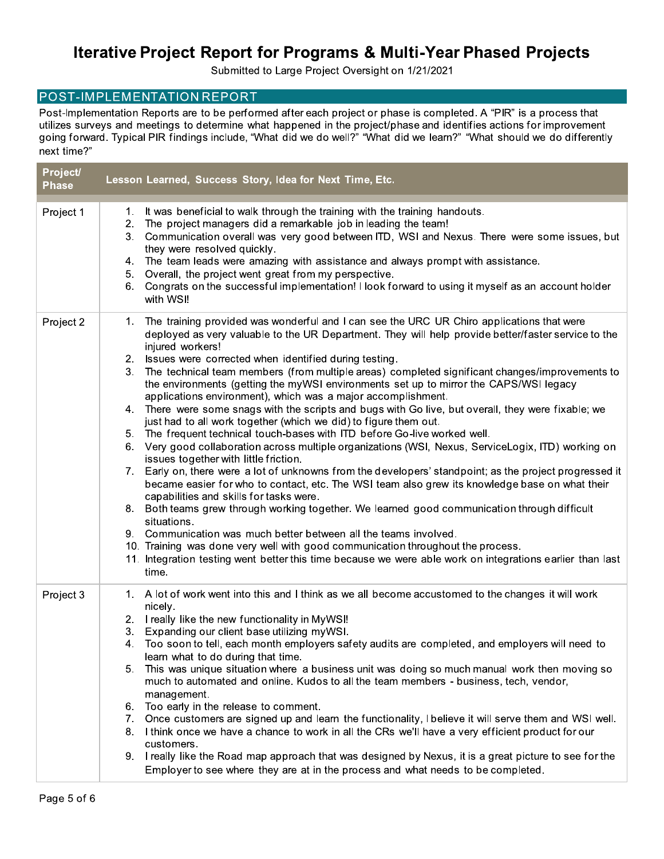Submitted to Large Project Oversight on 1/21/2021

### POST-IMPLEMENTATION REPORT

Post-Implementation Reports are to be performed after each project or phase is completed. A "PIR" is a process that utilizes surveys and meetings to determine what happened in the project/phase and identifies actions for improvement going forward. Typical PIR findings include, "What did we do well?" "What did we learn?" "What should we do differently next time?"

| Project/<br><b>Phase</b> | Lesson Learned, Success Story, Idea for Next Time, Etc.                                                                                                                                                                                                                                                                                                                                                                                                                                                                                                                                                                                                                                                                                                                                                                                                                                                                                                                                                                                                                                                                                                                                                                                                                                                                                                                                                                                                                                                                                                                                                                          |
|--------------------------|----------------------------------------------------------------------------------------------------------------------------------------------------------------------------------------------------------------------------------------------------------------------------------------------------------------------------------------------------------------------------------------------------------------------------------------------------------------------------------------------------------------------------------------------------------------------------------------------------------------------------------------------------------------------------------------------------------------------------------------------------------------------------------------------------------------------------------------------------------------------------------------------------------------------------------------------------------------------------------------------------------------------------------------------------------------------------------------------------------------------------------------------------------------------------------------------------------------------------------------------------------------------------------------------------------------------------------------------------------------------------------------------------------------------------------------------------------------------------------------------------------------------------------------------------------------------------------------------------------------------------------|
| Project 1                | It was beneficial to walk through the training with the training handouts.<br>1.<br>The project managers did a remarkable job in leading the team!<br>2.<br>Communication overall was very good between ITD, WSI and Nexus. There were some issues, but<br>3.<br>they were resolved quickly.<br>The team leads were amazing with assistance and always prompt with assistance.<br>4.<br>Overall, the project went great from my perspective.<br>5.<br>Congrats on the successful implementation! I look forward to using it myself as an account holder<br>6.<br>with WSI!                                                                                                                                                                                                                                                                                                                                                                                                                                                                                                                                                                                                                                                                                                                                                                                                                                                                                                                                                                                                                                                       |
| Project 2                | The training provided was wonderful and I can see the URC UR Chiro applications that were<br>1.<br>deployed as very valuable to the UR Department. They will help provide better/faster service to the<br>injured workers!<br>Issues were corrected when identified during testing.<br>2.<br>The technical team members (from multiple areas) completed significant changes/improvements to<br>3.<br>the environments (getting the myWSI environments set up to mirror the CAPS/WSI legacy<br>applications environment), which was a major accomplishment.<br>There were some snags with the scripts and bugs with Go live, but overall, they were fixable; we<br>4.<br>just had to all work together (which we did) to figure them out.<br>The frequent technical touch-bases with ITD before Go-live worked well.<br>5.<br>Very good collaboration across multiple organizations (WSI, Nexus, ServiceLogix, ITD) working on<br>6.<br>issues together with little friction.<br>7. Early on, there were a lot of unknowns from the developers' standpoint; as the project progressed it<br>became easier for who to contact, etc. The WSI team also grew its knowledge base on what their<br>capabilities and skills for tasks were.<br>8. Both teams grew through working together. We learned good communication through difficult<br>situations.<br>9. Communication was much better between all the teams involved.<br>10. Training was done very well with good communication throughout the process.<br>11. Integration testing went better this time because we were able work on integrations earlier than last<br>time. |
| Project 3                | 1. A lot of work went into this and I think as we all become accustomed to the changes it will work<br>nicely.<br>I really like the new functionality in MyWSI!<br>2.<br>Expanding our client base utilizing myWSI.<br>3.<br>Too soon to tell, each month employers safety audits are completed, and employers will need to<br>4.<br>learn what to do during that time.<br>This was unique situation where a business unit was doing so much manual work then moving so<br>5.<br>much to automated and online. Kudos to all the team members - business, tech, vendor,<br>management.<br>Too early in the release to comment.<br>6.<br>Once customers are signed up and learn the functionality, I believe it will serve them and WSI well.<br>7.<br>I think once we have a chance to work in all the CRs we'll have a very efficient product for our<br>8.<br>customers.<br>9. I really like the Road map approach that was designed by Nexus, it is a great picture to see for the<br>Employer to see where they are at in the process and what needs to be completed.                                                                                                                                                                                                                                                                                                                                                                                                                                                                                                                                                         |